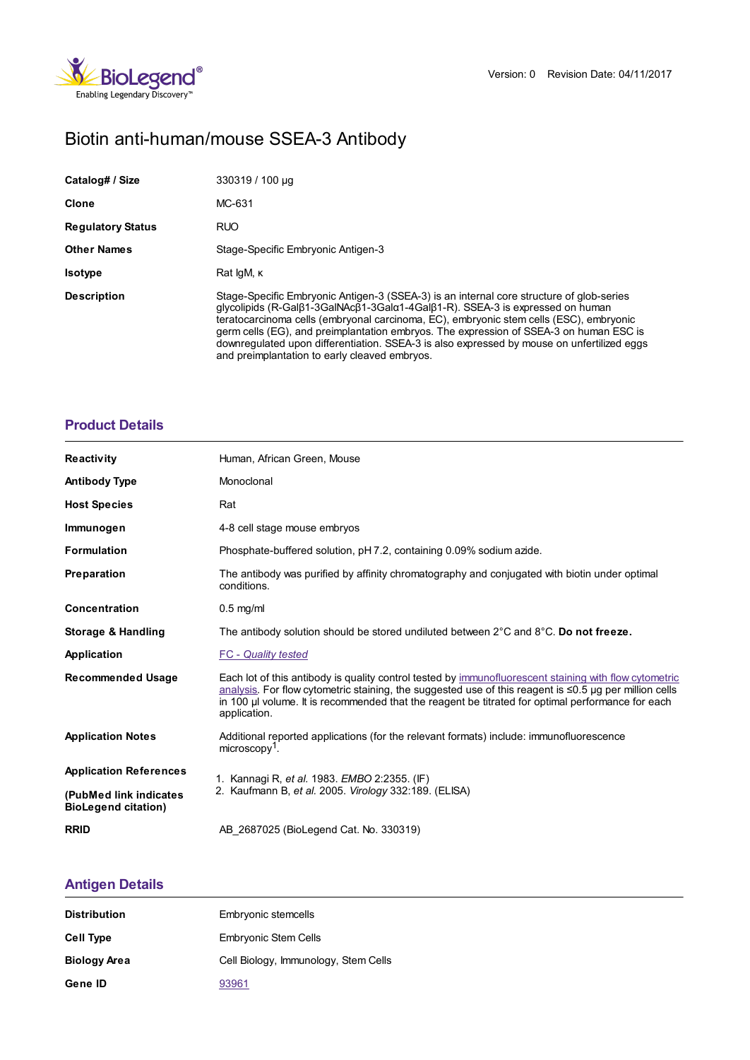

# Biotin anti-human/mouse SSEA-3 Antibody

| Catalog# / Size          | 330319 / 100 µg                                                                                                                                                                                                                                                                                                                                                                                                                                                                                                                                  |  |
|--------------------------|--------------------------------------------------------------------------------------------------------------------------------------------------------------------------------------------------------------------------------------------------------------------------------------------------------------------------------------------------------------------------------------------------------------------------------------------------------------------------------------------------------------------------------------------------|--|
| Clone                    | MC-631                                                                                                                                                                                                                                                                                                                                                                                                                                                                                                                                           |  |
| <b>Regulatory Status</b> | <b>RUO</b>                                                                                                                                                                                                                                                                                                                                                                                                                                                                                                                                       |  |
| <b>Other Names</b>       | Stage-Specific Embryonic Antigen-3                                                                                                                                                                                                                                                                                                                                                                                                                                                                                                               |  |
| <b>Isotype</b>           | Rat IgM, K                                                                                                                                                                                                                                                                                                                                                                                                                                                                                                                                       |  |
| <b>Description</b>       | Stage-Specific Embryonic Antigen-3 (SSEA-3) is an internal core structure of glob-series<br>$q$ lycolipids (R-Gal $\beta$ 1-3GalNAc $\beta$ 1-3Gal $\alpha$ 1-4Gal $\beta$ 1-R). SSEA-3 is expressed on human<br>teratocarcinoma cells (embryonal carcinoma, EC), embryonic stem cells (ESC), embryonic<br>germ cells (EG), and preimplantation embryos. The expression of SSEA-3 on human ESC is<br>downregulated upon differentiation. SSEA-3 is also expressed by mouse on unfertilized eggs<br>and preimplantation to early cleaved embryos. |  |

### **[Product](https://www.biolegend.com/en-us/search-results/biotin-anti-human-mouse-ssea-3-antibody-14339?pdf=true&displayInline=true&leftRightMargin=15&topBottomMargin=15&filename=Biotin anti-human/mouse SSEA-3 Antibody.pdf#productDetails) Details**

| <b>Reactivity</b>                                     | Human, African Green, Mouse                                                                                                                                                                                                                                                                                                                |  |
|-------------------------------------------------------|--------------------------------------------------------------------------------------------------------------------------------------------------------------------------------------------------------------------------------------------------------------------------------------------------------------------------------------------|--|
| <b>Antibody Type</b>                                  | Monoclonal                                                                                                                                                                                                                                                                                                                                 |  |
| <b>Host Species</b>                                   | Rat                                                                                                                                                                                                                                                                                                                                        |  |
| Immunogen                                             | 4-8 cell stage mouse embryos                                                                                                                                                                                                                                                                                                               |  |
| <b>Formulation</b>                                    | Phosphate-buffered solution, pH 7.2, containing 0.09% sodium azide.                                                                                                                                                                                                                                                                        |  |
| Preparation                                           | The antibody was purified by affinity chromatography and conjugated with biotin under optimal<br>conditions.                                                                                                                                                                                                                               |  |
| <b>Concentration</b>                                  | $0.5$ mg/ml                                                                                                                                                                                                                                                                                                                                |  |
| Storage & Handling                                    | The antibody solution should be stored undiluted between $2^{\circ}$ C and $8^{\circ}$ C. Do not freeze.                                                                                                                                                                                                                                   |  |
| Application                                           | <b>FC</b> - Quality tested                                                                                                                                                                                                                                                                                                                 |  |
| <b>Recommended Usage</b>                              | Each lot of this antibody is quality control tested by immunofluorescent staining with flow cytometric<br>analysis. For flow cytometric staining, the suggested use of this reagent is $\leq 0.5$ µg per million cells<br>in 100 µ volume. It is recommended that the reagent be titrated for optimal performance for each<br>application. |  |
| <b>Application Notes</b>                              | Additional reported applications (for the relevant formats) include: immunofluorescence<br>$microscopy1$ .                                                                                                                                                                                                                                 |  |
| <b>Application References</b>                         | 1. Kannagi R, et al. 1983. EMBO 2:2355. (IF)<br>2. Kaufmann B, et al. 2005. Virology 332:189. (ELISA)                                                                                                                                                                                                                                      |  |
| (PubMed link indicates)<br><b>BioLegend citation)</b> |                                                                                                                                                                                                                                                                                                                                            |  |
| <b>RRID</b>                                           | AB 2687025 (BioLegend Cat. No. 330319)                                                                                                                                                                                                                                                                                                     |  |

## **[Antigen](https://www.biolegend.com/en-us/search-results/biotin-anti-human-mouse-ssea-3-antibody-14339?pdf=true&displayInline=true&leftRightMargin=15&topBottomMargin=15&filename=Biotin anti-human/mouse SSEA-3 Antibody.pdf#antigenDetails) Details**

| <b>Distribution</b> | Embryonic stemcells                  |
|---------------------|--------------------------------------|
| Cell Type           | <b>Embryonic Stem Cells</b>          |
| <b>Biology Area</b> | Cell Biology, Immunology, Stem Cells |
| Gene ID             | 93961                                |